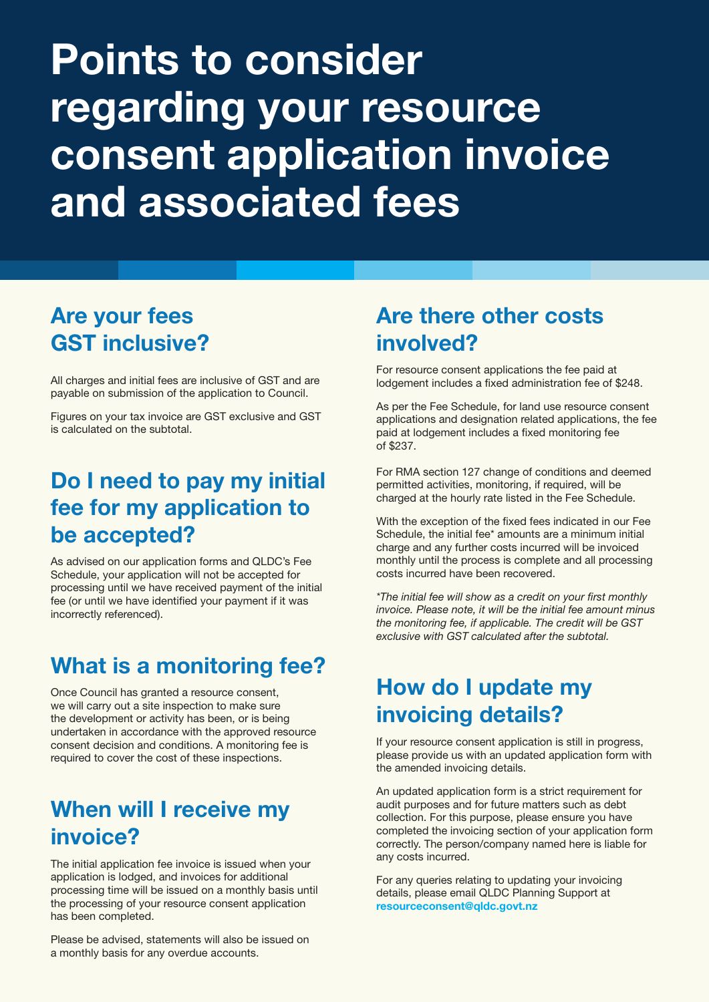# Points to consider regarding your resource consent application invoice and associated fees

## Are your fees GST inclusive?

All charges and initial fees are inclusive of GST and are payable on submission of the application to Council.

Figures on your tax invoice are GST exclusive and GST is calculated on the subtotal.

## Do I need to pay my initial fee for my application to be accepted?

As advised on our application forms and QLDC's Fee Schedule, your application will not be accepted for processing until we have received payment of the initial fee (or until we have identified your payment if it was incorrectly referenced).

## What is a monitoring fee?

Once Council has granted a resource consent, we will carry out a site inspection to make sure the development or activity has been, or is being undertaken in accordance with the approved resource consent decision and conditions. A monitoring fee is required to cover the cost of these inspections.

## When will I receive my invoice?

The initial application fee invoice is issued when your application is lodged, and invoices for additional processing time will be issued on a monthly basis until the processing of your resource consent application has been completed.

Please be advised, statements will also be issued on a monthly basis for any overdue accounts.

## Are there other costs involved?

For resource consent applications the fee paid at lodgement includes a fixed administration fee of \$248.

As per the Fee Schedule, for land use resource consent applications and designation related applications, the fee paid at lodgement includes a fixed monitoring fee of \$237.

For RMA section 127 change of conditions and deemed permitted activities, monitoring, if required, will be charged at the hourly rate listed in the Fee Schedule.

With the exception of the fixed fees indicated in our Fee Schedule, the initial fee\* amounts are a minimum initial charge and any further costs incurred will be invoiced monthly until the process is complete and all processing costs incurred have been recovered.

*\*The initial fee will show as a credit on your first monthly invoice. Please note, it will be the initial fee amount minus the monitoring fee, if applicable. The credit will be GST exclusive with GST calculated after the subtotal.*

## How do I update my invoicing details?

If your resource consent application is still in progress, please provide us with an updated application form with the amended invoicing details.

An updated application form is a strict requirement for audit purposes and for future matters such as debt collection. For this purpose, please ensure you have completed the invoicing section of your application form correctly. The person/company named here is liable for any costs incurred.

For any queries relating to updating your invoicing details, please email QLDC Planning Support at resourceconsent@qldc.govt.nz